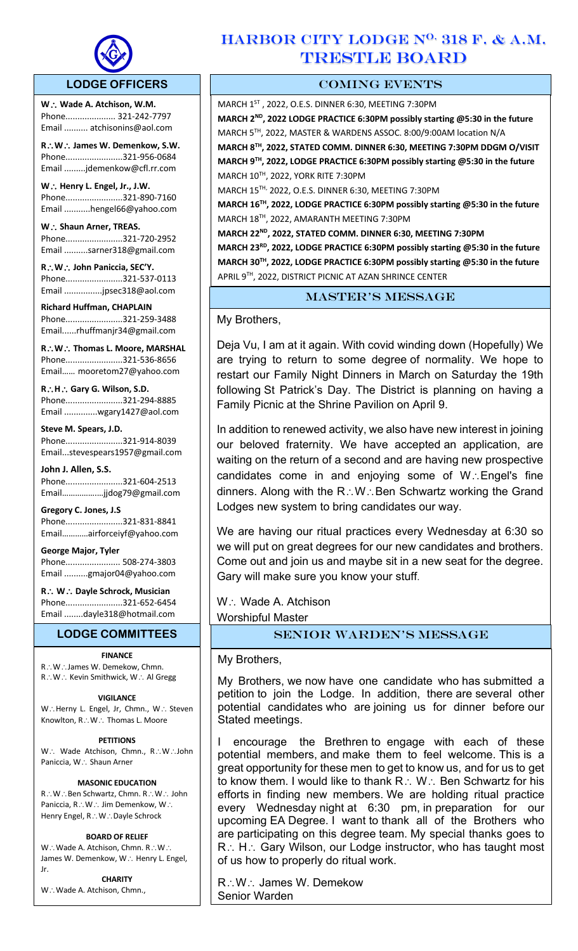

 $\overline{a}$ 

## **LODGE OFFICERS**

**W**. ∴ Wade A. Atchison, W.M. Phone..................... 321-242-7797 Email .......... atchisonins@aol.com

**R**\**W**\ **James W. Demenkow, S.W.** Phone........................321-956-0684 Email .........jdemenkow@cfl.rr.com

**W∴ Henry L. Engel, Jr., J.W.** Phone........................321-890-7160 Email ...........hengel66@yahoo.com

**W** ∴ Shaun Arner, TREAS. Phone........................321-720-2952 Email ..........sarner318@gmail.com

**R**\**W**\ **John Paniccia, SEC'Y.** Phone........................321-537-0113 Email ................jpsec318@aol.com

**Richard Huffman, CHAPLAIN** Phone........................321-259-3488 Email......rhuffmanjr34@gmail.com

**R**\**W**\ **Thomas L. Moore, MARSHAL**  Phone........................321-536-8656 Email…… mooretom27@yahoo.com

**R**\**H**\ **Gary G. Wilson, S.D.**  Phone........................321-294-8885 Email ..............wgary1427@aol.com

**Steve M. Spears, J.D.** Phone........................321-914-8039 Email...stevespears1957@gmail.com

**John J. Allen, S.S.** Phone........................321-604-2513 Email…………….…jjdog79@gmail.com

**Gregory C. Jones, J.S** Phone........................321-831-8841 Email…………airforceiyf@yahoo.com

**George Major, Tyler**  Phone....................... 508-274-3803 Email ..........gmajor04@yahoo.com

**R**\ **W**\ **Dayle Schrock, Musician**  Phone........................321-652-6454 Email ........dayle318@hotmail.com

#### **LODGE COMMITTEES**

#### **FINANCE**

R∴W∴James W. Demekow, Chmn. R.: W.: Kevin Smithwick, W.: Al Gregg

#### **VIGILANCE**

W.: Herny L. Engel, Jr, Chmn., W.: Steven Knowlton,  $R\mathcal{N}\times\mathcal{N}$ . Thomas L. Moore

#### **PETITIONS**

W.: Wade Atchison, Chmn., R.: W.: John Paniccia, W.: Shaun Arner

#### **MASONIC EDUCATION**

R.: W∴Ben Schwartz, Chmn. R∴W∴ John Paniccia, R.: W.: Jim Demenkow, W.: Henry Engel, R∴W∴Dayle Schrock

#### **BOARD OF RELIEF**

 $W\cdot W$ ade A. Atchison, Chmn. R $\therefore W\cdot W$ James W. Demenkow, W.: Henry L. Engel, Jr.

**CHARITY** W.: Wade A. Atchison, Chmn.,

## $HARBOR$  CITY LODGE  $N^{0.}$  318 F. & A.M. TRESTLE BOARD

## COMING EVENTS

MARCH 1ST , 2022, O.E.S. DINNER 6:30, MEETING 7:30PM **MARCH 2ND, 2022 LODGE PRACTICE 6:30PM possibly starting @5:30 in the future** MARCH 5TH, 2022, MASTER & WARDENS ASSOC. 8:00/9:00AM location N/A **MARCH 8TH, 2022, STATED COMM. DINNER 6:30, MEETING 7:30PM DDGM O/VISIT MARCH 9TH, 2022, LODGE PRACTICE 6:30PM possibly starting @5:30 in the future** MARCH 10TH, 2022, YORK RITE 7:30PM MARCH 15TH, 2022, O.E.S. DINNER 6:30, MEETING 7:30PM **MARCH 16TH, 2022, LODGE PRACTICE 6:30PM possibly starting @5:30 in the future** MARCH 18TH, 2022, AMARANTH MEETING 7:30PM **MARCH 22ND, 2022, STATED COMM. DINNER 6:30, MEETING 7:30PM**

**MARCH 23RD, 2022, LODGE PRACTICE 6:30PM possibly starting @5:30 in the future MARCH 30TH, 2022, LODGE PRACTICE 6:30PM possibly starting @5:30 in the future** APRIL 9TH, 2022, DISTRICT PICNIC AT AZAN SHRINCE CENTER

## master's message

My Brothers,

Deja Vu, I am at it again. With covid winding down (Hopefully) We are trying to return to some degree of normality. We hope to restart our Family Night Dinners in March on Saturday the 19th following St Patrick's Day. The District is planning on having a Family Picnic at the Shrine Pavilion on April 9.

In addition to renewed activity, we also have new interest in joining our beloved fraternity. We have accepted an application, are waiting on the return of a second and are having new prospective candidates come in and enjoying some of  $W \cdot$ . Engel's fine dinners. Along with the  $R\ddot{\otimes} W\ddot{\otimes} B$ en Schwartz working the Grand Lodges new system to bring candidates our way.

We are having our ritual practices every Wednesday at 6:30 so we will put on great degrees for our new candidates and brothers. Come out and join us and maybe sit in a new seat for the degree. Gary will make sure you know your stuff.

W: Wade A. Atchison Worshipful Master

## Senior Warden's message

## My Brothers,

My Brothers, we now have one candidate who has submitted a petition to join the Lodge. In addition, there are several other potential candidates who are joining us for dinner before our Stated meetings.

I encourage the Brethren to engage with each of these potential members, and make them to feel welcome. This is a great opportunity for these men to get to know us, and for us to get to know them. I would like to thank  $R\colon W\colon$  Ben Schwartz for his efforts in finding new members. We are holding ritual practice every Wednesday night at 6:30 pm, in preparation for our upcoming EA Degree. I want to thank all of the Brothers who are participating on this degree team. My special thanks goes to R.: H.: Gary Wilson, our Lodge instructor, who has taught most of us how to properly do ritual work.

R:: W:: James W. Demekow Senior Warden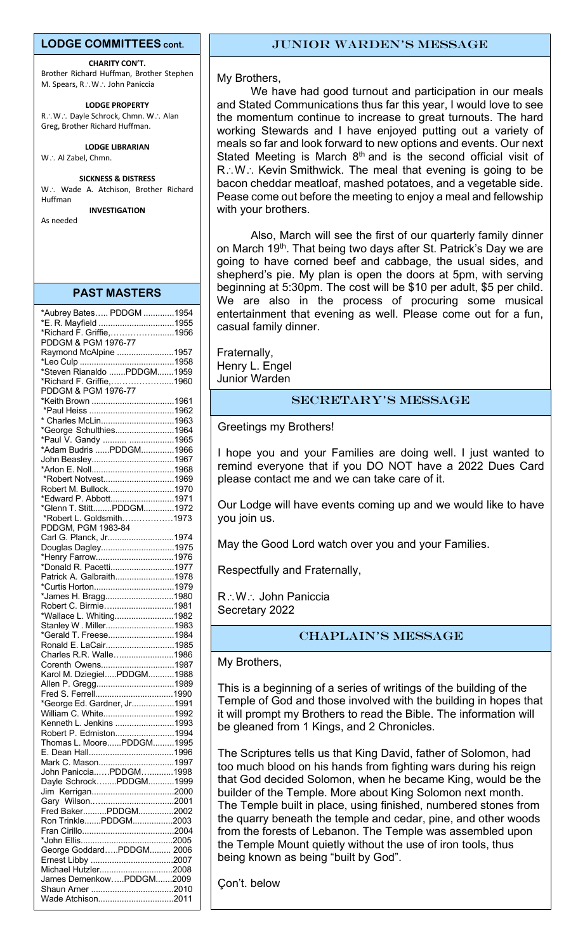## **LODGE COMMITTEES cont.**

**CHARITY CON'T.** Brother Richard Huffman, Brother Stephen M. Spears, R.: W.: John Paniccia

**LODGE PROPERTY** R.: W.: Dayle Schrock, Chmn. W.: Alan Greg, Brother Richard Huffman.

**LODGE LIBRARIAN**

#### W.: Al Zabel, Chmn.

#### **SICKNESS & DISTRESS**

W.: Wade A. Atchison, Brother Richard Huffman

**INVESTIGATION** As needed

**PAST MASTERS** 

| *Aubrey Bates PDDGM 1954                       |  |
|------------------------------------------------|--|
| *E. R. Mayfield 1955                           |  |
| *Richard F. Griffie,1956                       |  |
| PDDGM & PGM 1976-77                            |  |
| Raymond McAlpine 1957                          |  |
|                                                |  |
| *Steven Rianaldo PDDGM1959                     |  |
| *Richard F. Griffie,1960                       |  |
| PDDGM & PGM 1976-77                            |  |
| *Keith Brown 1961                              |  |
|                                                |  |
| * Charles McLin1963                            |  |
|                                                |  |
| *George Schulthies1964                         |  |
| *Paul V. Gandy  1965<br>*Adam Budris PDDGM1966 |  |
|                                                |  |
| John Beasley1967                               |  |
|                                                |  |
| *Robert Notvest1969                            |  |
| Robert M. Bullock1970                          |  |
| *Edward P. Abbott1971                          |  |
| *Glenn T. StittPDDGM1972                       |  |
| *Robert L. Goldsmith1973                       |  |
| PDDGM, PGM 1983-84                             |  |
| Carl G. Planck, Jr1974                         |  |
| Douglas Dagley1975                             |  |
| *Henry Farrow1976                              |  |
| *Donald R. Pacetti1977                         |  |
| Patrick A. Galbraith1978                       |  |
|                                                |  |
| *James H. Bragg1980                            |  |
| Robert C. Birmie1981                           |  |
| *Wallace L. Whiting1982                        |  |
| Stanley W. Miller1983                          |  |
| *Gerald T. Freese1984                          |  |
|                                                |  |
| Ronald E. LaCair1985                           |  |
| Charles R.R. Walle1986                         |  |
| Corenth Owens1987                              |  |
| Karol M. DziegielPDDGM1988                     |  |
| Allen P. Gregg1989                             |  |
|                                                |  |
| *George Ed. Gardner, Jr1991                    |  |
| William C. White1992                           |  |
| Kenneth L. Jenkins 1993                        |  |
| Robert P. Edmiston1994                         |  |
| Thomas L. MoorePDDGM1995                       |  |
|                                                |  |
| Mark C. Mason1997                              |  |
| John PanicciaPDDGM1998                         |  |
| Dayle SchrockPDDGM1999                         |  |
|                                                |  |
|                                                |  |
| Fred BakerPDDGM2002                            |  |
| Ron TrinklePDDGM2003                           |  |
|                                                |  |
|                                                |  |
| George GoddardPDDGM 2006                       |  |
|                                                |  |
|                                                |  |
| Michael Hutzler2008                            |  |
| James DemenkowPDDGM2009                        |  |
|                                                |  |
| Wade Atchison2011                              |  |

## Junior Warden's message

#### My Brothers,

We have had good turnout and participation in our meals and Stated Communications thus far this year, I would love to see the momentum continue to increase to great turnouts. The hard working Stewards and I have enjoyed putting out a variety of meals so far and look forward to new options and events. Our next Stated Meeting is March  $8<sup>th</sup>$  and is the second official visit of  $R:\mathsf{W}$ : Kevin Smithwick. The meal that evening is going to be bacon cheddar meatloaf, mashed potatoes, and a vegetable side. Pease come out before the meeting to enjoy a meal and fellowship with your brothers.

Also, March will see the first of our quarterly family dinner on March 19<sup>th</sup>. That being two days after St. Patrick's Day we are going to have corned beef and cabbage, the usual sides, and shepherd's pie. My plan is open the doors at 5pm, with serving beginning at 5:30pm. The cost will be \$10 per adult, \$5 per child. We are also in the process of procuring some musical entertainment that evening as well. Please come out for a fun, casual family dinner.

Fraternally, Henry L. Engel Junior Warden

## Secretary's message

Greetings my Brothers!

I hope you and your Families are doing well. I just wanted to remind everyone that if you DO NOT have a 2022 Dues Card please contact me and we can take care of it.

Our Lodge will have events coming up and we would like to have you join us.

May the Good Lord watch over you and your Families.

Respectfully and Fraternally,

R: W: John Paniccia Secretary 2022

## CHAPLAIN's message

My Brothers,

it will prompt my Brothers to read the Bible. The information will This is a beginning of a series of writings of the building of the Temple of God and those involved with the building in hopes that be gleaned from 1 Kings, and 2 Chronicles.

The Scriptures tells us that King David, father of Solomon, had too much blood on his hands from fighting wars during his reign that God decided Solomon, when he became King, would be the builder of the Temple. More about King Solomon next month. The Temple built in place, using finished, numbered stones from the quarry beneath the temple and cedar, pine, and other woods from the forests of Lebanon. The Temple was assembled upon the Temple Mount quietly without the use of iron tools, thus being known as being "built by God".

Çon't. below